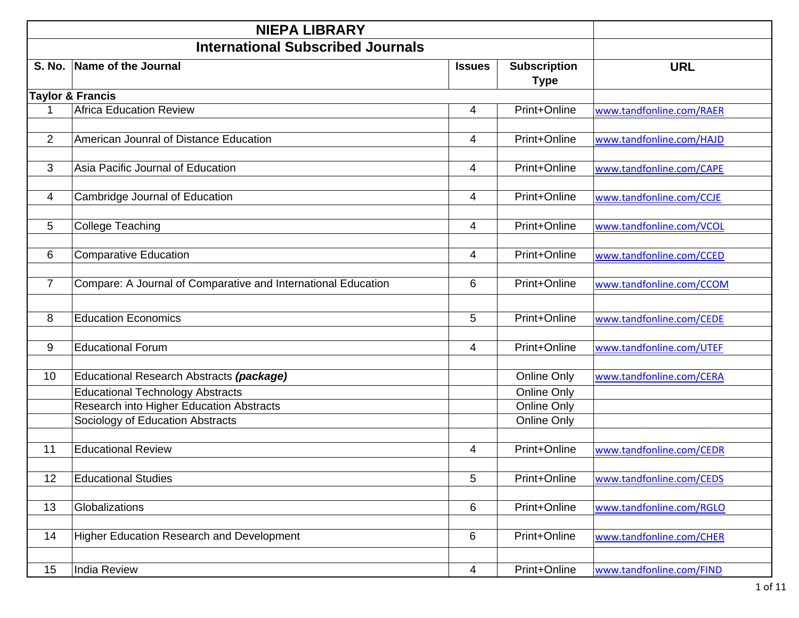|                | <b>NIEPA LIBRARY</b>                                          |                |                                    |                          |
|----------------|---------------------------------------------------------------|----------------|------------------------------------|--------------------------|
|                | <b>International Subscribed Journals</b>                      |                |                                    |                          |
| <b>S. No.</b>  | Name of the Journal                                           | <b>Issues</b>  | <b>Subscription</b><br><b>Type</b> | <b>URL</b>               |
|                | <b>Taylor &amp; Francis</b>                                   |                |                                    |                          |
|                | <b>Africa Education Review</b>                                | $\overline{4}$ | Print+Online                       | www.tandfonline.com/RAER |
| $\overline{2}$ | American Jounral of Distance Education                        | $\overline{4}$ | Print+Online                       | www.tandfonline.com/HAJD |
| 3              | Asia Pacific Journal of Education                             | $\overline{4}$ | Print+Online                       | www.tandfonline.com/CAPE |
| 4              | Cambridge Journal of Education                                | 4              | Print+Online                       | www.tandfonline.com/CCJE |
| 5              | <b>College Teaching</b>                                       | 4              | Print+Online                       | www.tandfonline.com/VCOL |
| 6              | <b>Comparative Education</b>                                  | 4              | Print+Online                       | www.tandfonline.com/CCED |
| $\overline{7}$ | Compare: A Journal of Comparative and International Education | 6              | Print+Online                       | www.tandfonline.com/CCOM |
| 8              | <b>Education Economics</b>                                    | 5              | Print+Online                       | www.tandfonline.com/CEDE |
| 9              | <b>Educational Forum</b>                                      | 4              | Print+Online                       | www.tandfonline.com/UTEF |
| 10             | Educational Research Abstracts (package)                      |                | Online Only                        | www.tandfonline.com/CERA |
|                | <b>Educational Technology Abstracts</b>                       |                | Online Only                        |                          |
|                | Research into Higher Education Abstracts                      |                | Online Only                        |                          |
|                | Sociology of Education Abstracts                              |                | Online Only                        |                          |
| 11             | <b>Educational Review</b>                                     | $\overline{4}$ | Print+Online                       | www.tandfonline.com/CEDR |
| 12             | <b>Educational Studies</b>                                    | 5              | Print+Online                       | www.tandfonline.com/CEDS |
| 13             | Globalizations                                                | $6\phantom{1}$ | Print+Online                       | www.tandfonline.com/RGLO |
| 14             | <b>Higher Education Research and Development</b>              | 6              | Print+Online                       | www.tandfonline.com/CHER |
| 15             | <b>India Review</b>                                           | $\overline{4}$ | Print+Online                       | www.tandfonline.com/FIND |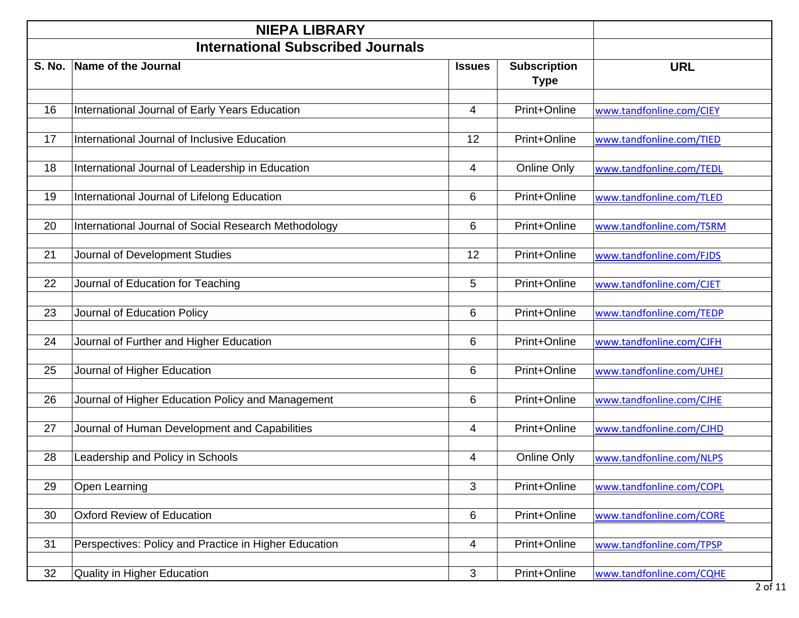|               | <b>NIEPA LIBRARY</b>                                  |               |                                    |                          |  |
|---------------|-------------------------------------------------------|---------------|------------------------------------|--------------------------|--|
|               | <b>International Subscribed Journals</b>              |               |                                    |                          |  |
| <b>S. No.</b> | <b>Name of the Journal</b>                            | <b>Issues</b> | <b>Subscription</b><br><b>Type</b> | <b>URL</b>               |  |
| 16            | International Journal of Early Years Education        | 4             | Print+Online                       | www.tandfonline.com/CIEY |  |
| 17            | International Journal of Inclusive Education          | 12            | Print+Online                       | www.tandfonline.com/TIED |  |
| 18            | International Journal of Leadership in Education      | 4             | Online Only                        | www.tandfonline.com/TEDL |  |
| 19            | International Journal of Lifelong Education           | 6             | Print+Online                       | www.tandfonline.com/TLED |  |
| 20            | International Journal of Social Research Methodology  | 6             | Print+Online                       | www.tandfonline.com/TSRM |  |
| 21            | Journal of Development Studies                        | 12            | Print+Online                       | www.tandfonline.com/FJDS |  |
| 22            | Journal of Education for Teaching                     | 5             | Print+Online                       | www.tandfonline.com/CJET |  |
| 23            | Journal of Education Policy                           | 6             | Print+Online                       | www.tandfonline.com/TEDP |  |
| 24            | Journal of Further and Higher Education               | 6             | Print+Online                       | www.tandfonline.com/CJFH |  |
| 25            | Journal of Higher Education                           | 6             | Print+Online                       | www.tandfonline.com/UHEJ |  |
| 26            | Journal of Higher Education Policy and Management     | 6             | Print+Online                       | www.tandfonline.com/CJHE |  |
| 27            | Journal of Human Development and Capabilities         | 4             | Print+Online                       | www.tandfonline.com/CJHD |  |
| 28            | Leadership and Policy in Schools                      | 4             | Online Only                        | www.tandfonline.com/NLPS |  |
| 29            | Open Learning                                         | 3             | Print+Online                       | www.tandfonline.com/COPL |  |
| 30            | <b>Oxford Review of Education</b>                     | 6             | Print+Online                       | www.tandfonline.com/CORE |  |
| 31            | Perspectives: Policy and Practice in Higher Education | 4             | Print+Online                       | www.tandfonline.com/TPSP |  |
| 32            | <b>Quality in Higher Education</b>                    | 3             | Print+Online                       | www.tandfonline.com/CQHE |  |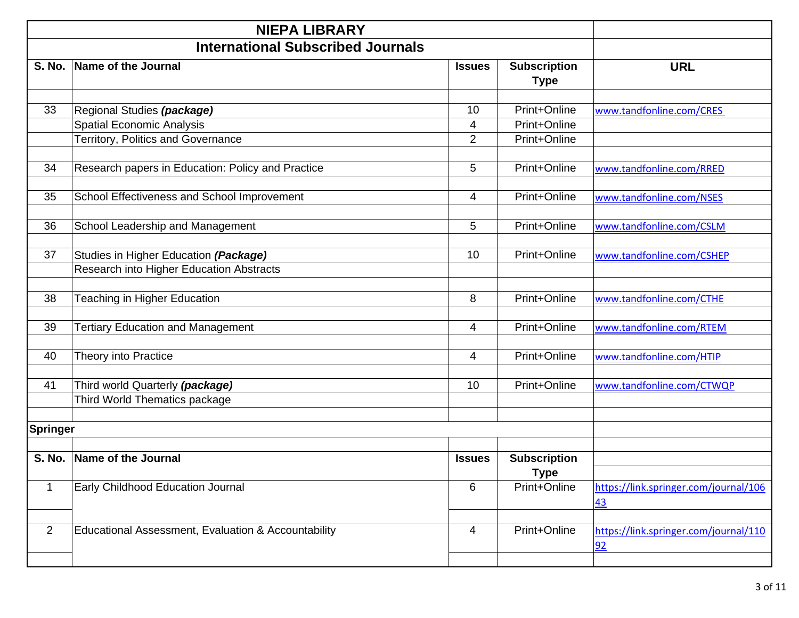|               | <b>NIEPA LIBRARY</b>                                                                     |                |                                    |                                             |
|---------------|------------------------------------------------------------------------------------------|----------------|------------------------------------|---------------------------------------------|
|               | <b>International Subscribed Journals</b>                                                 |                |                                    |                                             |
| <b>S. No.</b> | Name of the Journal                                                                      | <b>Issues</b>  | <b>Subscription</b><br><b>Type</b> | <b>URL</b>                                  |
|               |                                                                                          |                |                                    |                                             |
| 33            | Regional Studies (package)                                                               | 10             | Print+Online                       | www.tandfonline.com/CRES                    |
|               | <b>Spatial Economic Analysis</b>                                                         | 4              | Print+Online                       |                                             |
|               | Territory, Politics and Governance                                                       | $\overline{2}$ | Print+Online                       |                                             |
| 34            | Research papers in Education: Policy and Practice                                        | 5              | Print+Online                       | www.tandfonline.com/RRED                    |
| 35            | School Effectiveness and School Improvement                                              | 4              | Print+Online                       | www.tandfonline.com/NSES                    |
| 36            | School Leadership and Management                                                         | 5              | Print+Online                       | www.tandfonline.com/CSLM                    |
| 37            | Studies in Higher Education (Package)<br><b>Research into Higher Education Abstracts</b> | 10             | Print+Online                       | www.tandfonline.com/CSHEP                   |
| 38            | Teaching in Higher Education                                                             | 8              | Print+Online                       | www.tandfonline.com/CTHE                    |
| 39            | <b>Tertiary Education and Management</b>                                                 | $\overline{4}$ | Print+Online                       | www.tandfonline.com/RTEM                    |
| 40            | Theory into Practice                                                                     | 4              | Print+Online                       | www.tandfonline.com/HTIP                    |
| 41            | Third world Quarterly (package)<br>Third World Thematics package                         | 10             | Print+Online                       | www.tandfonline.com/CTWQP                   |
| Springer      |                                                                                          |                |                                    |                                             |
| <b>S. No.</b> | Name of the Journal                                                                      | <b>Issues</b>  | <b>Subscription</b><br><b>Type</b> |                                             |
| $\mathbf 1$   | Early Childhood Education Journal                                                        | 6              | Print+Online                       | https://link.springer.com/journal/106<br>43 |
| 2             | Educational Assessment, Evaluation & Accountability                                      | 4              | Print+Online                       | https://link.springer.com/journal/110<br>92 |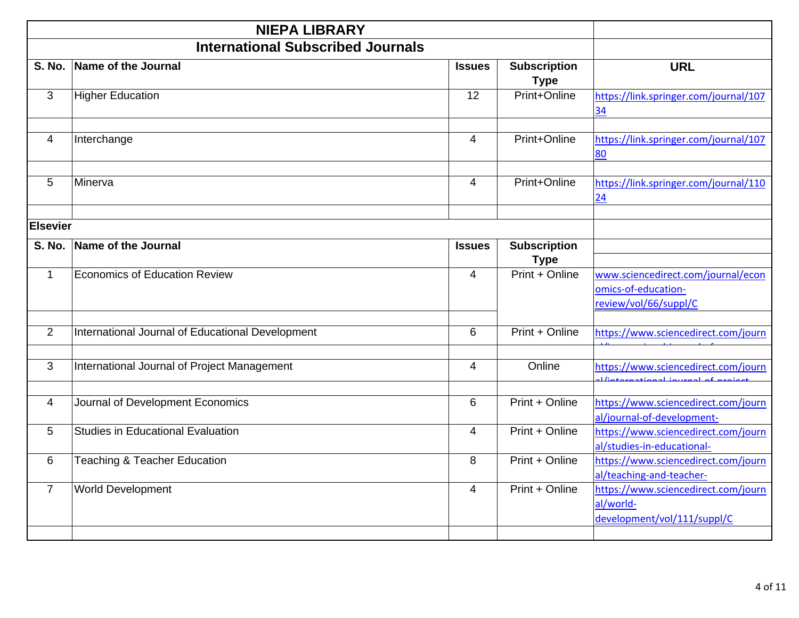|                 | <b>NIEPA LIBRARY</b>                             |                |                                    |                                                                                            |  |  |
|-----------------|--------------------------------------------------|----------------|------------------------------------|--------------------------------------------------------------------------------------------|--|--|
|                 | <b>International Subscribed Journals</b>         |                |                                    |                                                                                            |  |  |
| <b>S. No.</b>   | Name of the Journal                              | <b>Issues</b>  | <b>Subscription</b><br><b>Type</b> | <b>URL</b>                                                                                 |  |  |
| 3               | <b>Higher Education</b>                          | 12             | Print+Online                       | https://link.springer.com/journal/107<br>$\overline{34}$                                   |  |  |
| 4               | Interchange                                      | 4              | Print+Online                       | https://link.springer.com/journal/107<br>80                                                |  |  |
| 5               | Minerva                                          | $\overline{4}$ | Print+Online                       | https://link.springer.com/journal/110<br>24                                                |  |  |
| <b>Elsevier</b> |                                                  |                |                                    |                                                                                            |  |  |
| <b>S. No.</b>   | Name of the Journal                              | <b>Issues</b>  | <b>Subscription</b><br><b>Type</b> |                                                                                            |  |  |
| $\mathbf{1}$    | Economics of Education Review                    | $\overline{4}$ | Print + Online                     | www.sciencedirect.com/journal/econ<br>omics-of-education-<br>review/vol/66/suppl/C         |  |  |
| 2               | International Journal of Educational Development | 6              | Print + Online                     | https://www.sciencedirect.com/journ                                                        |  |  |
| 3               | International Journal of Project Management      | $\overline{4}$ | Online                             | https://www.sciencedirect.com/journ<br><b>The contract of the contract of the contract</b> |  |  |
| 4               | Journal of Development Economics                 | 6              | Print + Online                     | https://www.sciencedirect.com/journ<br>al/journal-of-development-                          |  |  |
| 5               | <b>Studies in Educational Evaluation</b>         | $\overline{4}$ | Print + Online                     | https://www.sciencedirect.com/journ<br>al/studies-in-educational-                          |  |  |
| 6               | <b>Teaching &amp; Teacher Education</b>          | 8              | Print + Online                     | https://www.sciencedirect.com/journ<br>al/teaching-and-teacher-                            |  |  |
| $\overline{7}$  | <b>World Development</b>                         | 4              | Print + Online                     | https://www.sciencedirect.com/journ<br>al/world-<br>development/vol/111/suppl/C            |  |  |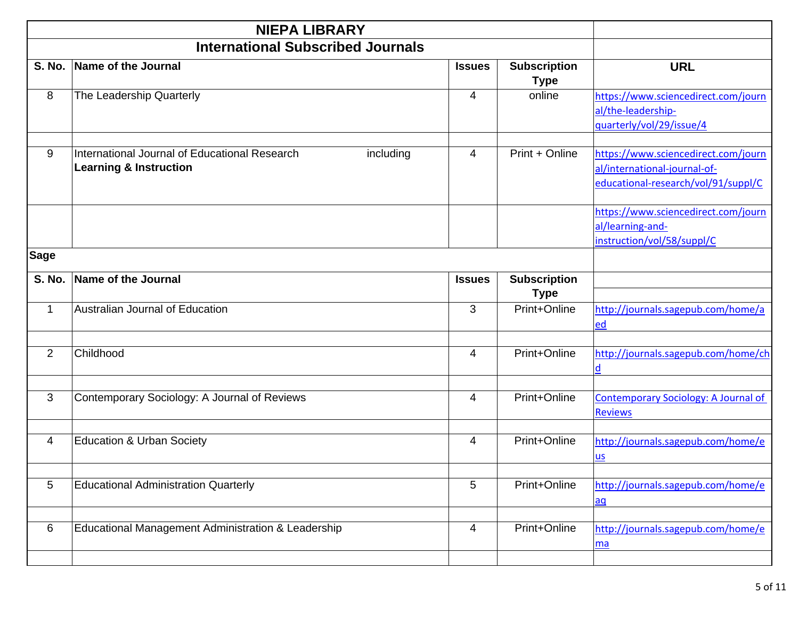|                | <b>NIEPA LIBRARY</b>                                                                            |                |                                    |                                                                                                            |
|----------------|-------------------------------------------------------------------------------------------------|----------------|------------------------------------|------------------------------------------------------------------------------------------------------------|
|                | <b>International Subscribed Journals</b>                                                        |                |                                    |                                                                                                            |
| <b>S. No.</b>  | Name of the Journal                                                                             | <b>Issues</b>  | <b>Subscription</b><br><b>Type</b> | <b>URL</b>                                                                                                 |
| 8              | The Leadership Quarterly                                                                        | $\overline{4}$ | online                             | https://www.sciencedirect.com/journ<br>al/the-leadership-<br>quarterly/vol/29/issue/4                      |
| 9              | International Journal of Educational Research<br>including<br><b>Learning &amp; Instruction</b> | 4              | Print + Online                     | https://www.sciencedirect.com/journ<br>al/international-journal-of-<br>educational-research/vol/91/suppl/C |
|                |                                                                                                 |                |                                    | https://www.sciencedirect.com/journ<br>al/learning-and-<br>instruction/vol/58/suppl/C                      |
| <b>Sage</b>    |                                                                                                 |                |                                    |                                                                                                            |
| <b>S. No.</b>  | Name of the Journal                                                                             | <b>Issues</b>  | <b>Subscription</b><br><b>Type</b> |                                                                                                            |
| 1              | Australian Journal of Education                                                                 | 3              | Print+Online                       | http://journals.sagepub.com/home/a<br>ed                                                                   |
| $\overline{2}$ | Childhood                                                                                       | 4              | Print+Online                       | http://journals.sagepub.com/home/ch<br>$\overline{d}$                                                      |
| 3              | Contemporary Sociology: A Journal of Reviews                                                    | 4              | Print+Online                       | <b>Contemporary Sociology: A Journal of</b><br><b>Reviews</b>                                              |
| 4              | <b>Education &amp; Urban Society</b>                                                            | $\overline{4}$ | Print+Online                       | http://journals.sagepub.com/home/e<br>$us$                                                                 |
| 5              | <b>Educational Administration Quarterly</b>                                                     | 5              | Print+Online                       | http://journals.sagepub.com/home/e<br>$\overline{aq}$                                                      |
| 6              | Educational Management Administration & Leadership                                              | $\overline{4}$ | Print+Online                       | http://journals.sagepub.com/home/e<br>ma                                                                   |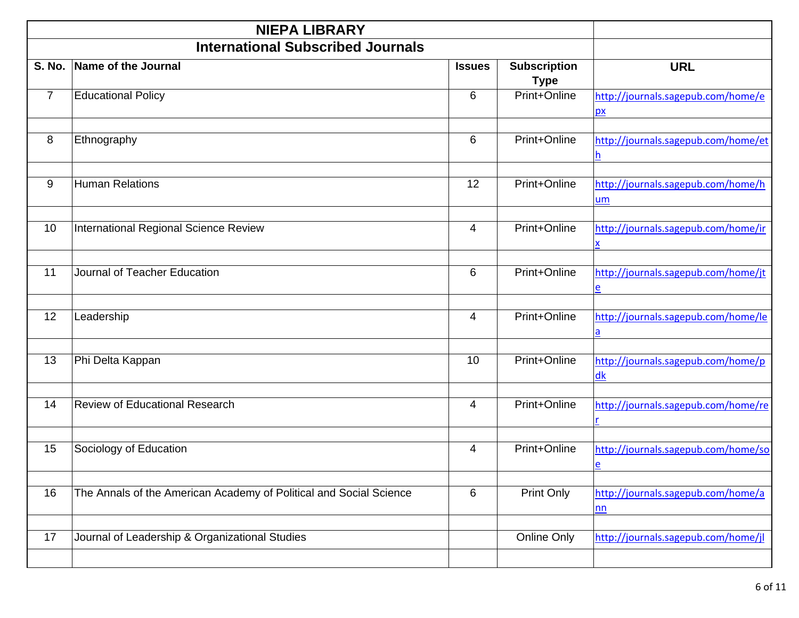|                | <b>NIEPA LIBRARY</b>                                               |                |                                    |                                                                |  |  |  |
|----------------|--------------------------------------------------------------------|----------------|------------------------------------|----------------------------------------------------------------|--|--|--|
|                | <b>International Subscribed Journals</b>                           |                |                                    |                                                                |  |  |  |
| <b>S. No.</b>  | Name of the Journal                                                | <b>Issues</b>  | <b>Subscription</b><br><b>Type</b> | <b>URL</b>                                                     |  |  |  |
| $\overline{7}$ | <b>Educational Policy</b>                                          | 6              | Print+Online                       | http://journals.sagepub.com/home/e<br>$\mathbf{p}$             |  |  |  |
| 8              | Ethnography                                                        | 6              | Print+Online                       | http://journals.sagepub.com/home/et<br>h                       |  |  |  |
| 9              | <b>Human Relations</b>                                             | 12             | Print+Online                       | http://journals.sagepub.com/home/h<br>um                       |  |  |  |
| 10             | International Regional Science Review                              | 4              | Print+Online                       | http://journals.sagepub.com/home/ir                            |  |  |  |
| 11             | Journal of Teacher Education                                       | 6              | Print+Online                       | http://journals.sagepub.com/home/jt<br>$\overline{e}$          |  |  |  |
| 12             | Leadership                                                         | $\overline{4}$ | Print+Online                       | http://journals.sagepub.com/home/le<br>$\overline{\mathbf{a}}$ |  |  |  |
| 13             | Phi Delta Kappan                                                   | 10             | Print+Online                       | http://journals.sagepub.com/home/p<br>dk                       |  |  |  |
| 14             | Review of Educational Research                                     | 4              | Print+Online                       | http://journals.sagepub.com/home/re                            |  |  |  |
| 15             | Sociology of Education                                             | $\overline{4}$ | Print+Online                       | http://journals.sagepub.com/home/so<br><u>e</u>                |  |  |  |
| 16             | The Annals of the American Academy of Political and Social Science | 6              | Print Only                         | http://journals.sagepub.com/home/a<br>nn                       |  |  |  |
| 17             | Journal of Leadership & Organizational Studies                     |                | Online Only                        | http://journals.sagepub.com/home/jl                            |  |  |  |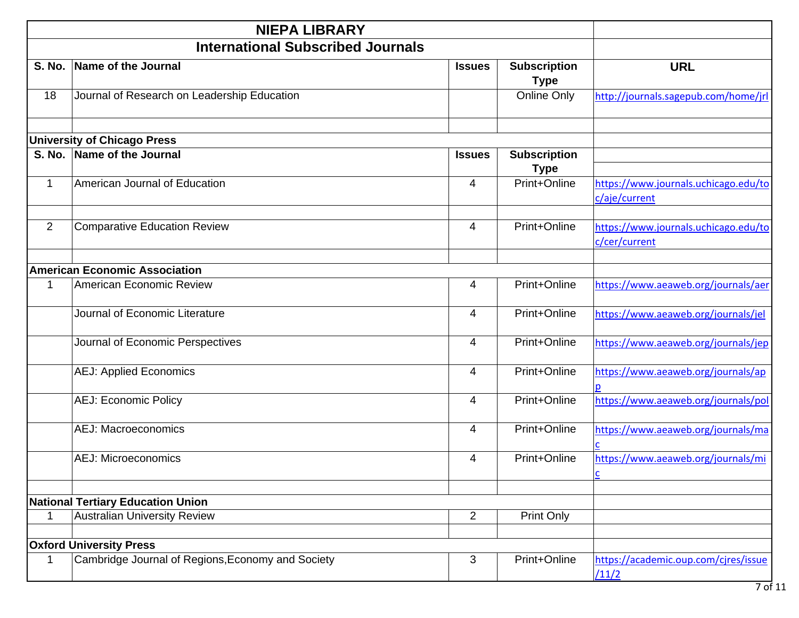|                | <b>NIEPA LIBRARY</b>                              |                |                                    |                                                       |
|----------------|---------------------------------------------------|----------------|------------------------------------|-------------------------------------------------------|
|                | <b>International Subscribed Journals</b>          |                |                                    |                                                       |
| S. No.         | Name of the Journal                               | <b>Issues</b>  | <b>Subscription</b><br><b>Type</b> | <b>URL</b>                                            |
| 18             | Journal of Research on Leadership Education       |                | Online Only                        | http://journals.sagepub.com/home/jrl                  |
|                | <b>University of Chicago Press</b>                |                |                                    |                                                       |
| <b>S. No.</b>  | Name of the Journal                               | <b>Issues</b>  | <b>Subscription</b><br><b>Type</b> |                                                       |
| 1              | American Journal of Education                     | $\overline{4}$ | Print+Online                       | https://www.journals.uchicago.edu/to<br>c/aje/current |
| $\overline{2}$ | <b>Comparative Education Review</b>               | 4              | Print+Online                       | https://www.journals.uchicago.edu/to<br>c/cer/current |
|                | <b>American Economic Association</b>              |                |                                    |                                                       |
| 1              | American Economic Review                          | 4              | Print+Online                       | https://www.aeaweb.org/journals/aer                   |
|                | Journal of Economic Literature                    | 4              | Print+Online                       | https://www.aeaweb.org/journals/jel                   |
|                | Journal of Economic Perspectives                  | 4              | Print+Online                       | https://www.aeaweb.org/journals/jep                   |
|                | <b>AEJ: Applied Economics</b>                     | 4              | Print+Online                       | https://www.aeaweb.org/journals/ap                    |
|                | <b>AEJ: Economic Policy</b>                       | $\overline{4}$ | Print+Online                       | https://www.aeaweb.org/journals/pol                   |
|                | <b>AEJ: Macroeconomics</b>                        | $\overline{4}$ | Print+Online                       | https://www.aeaweb.org/journals/ma                    |
|                | <b>AEJ: Microeconomics</b>                        | 4              | Print+Online                       | https://www.aeaweb.org/journals/mi                    |
|                | <b>National Tertiary Education Union</b>          |                |                                    |                                                       |
| 1              | <b>Australian University Review</b>               | $\overline{2}$ | Print Only                         |                                                       |
|                |                                                   |                |                                    |                                                       |
|                | <b>Oxford University Press</b>                    |                |                                    |                                                       |
| 1              | Cambridge Journal of Regions, Economy and Society | 3              | Print+Online                       | https://academic.oup.com/cjres/issue<br>/11/2         |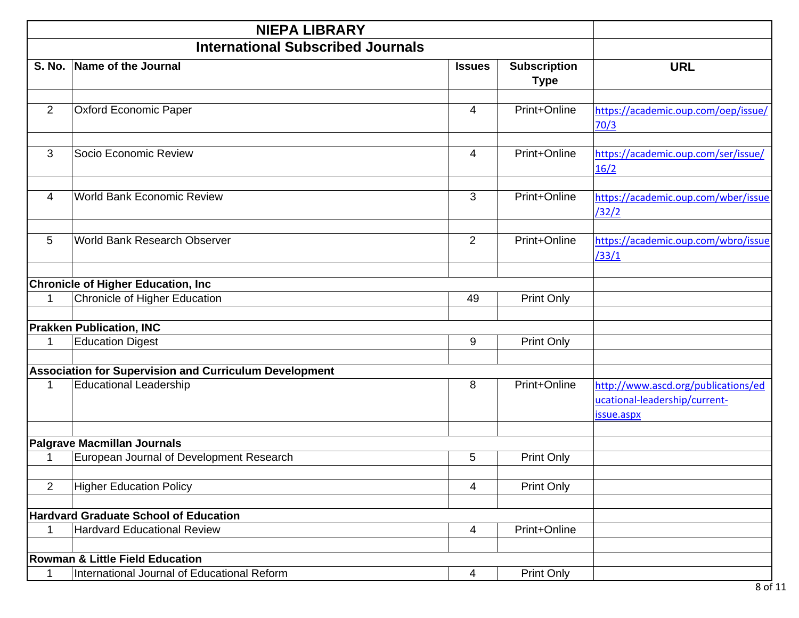|                | <b>NIEPA LIBRARY</b>                                          |                |                                    |                                                                                    |
|----------------|---------------------------------------------------------------|----------------|------------------------------------|------------------------------------------------------------------------------------|
|                | <b>International Subscribed Journals</b>                      |                |                                    |                                                                                    |
| <b>S. No.</b>  | Name of the Journal                                           | <b>Issues</b>  | <b>Subscription</b><br><b>Type</b> | <b>URL</b>                                                                         |
| $\overline{2}$ | <b>Oxford Economic Paper</b>                                  | $\overline{4}$ | Print+Online                       | https://academic.oup.com/oep/issue/<br>70/3                                        |
| 3              | Socio Economic Review                                         | 4              | Print+Online                       | https://academic.oup.com/ser/issue/<br>16/2                                        |
| 4              | <b>World Bank Economic Review</b>                             | 3              | Print+Online                       | https://academic.oup.com/wber/issue<br>/32/2                                       |
| 5              | World Bank Research Observer                                  | 2              | Print+Online                       | https://academic.oup.com/wbro/issue<br>/33/1                                       |
|                | <b>Chronicle of Higher Education, Inc</b>                     |                |                                    |                                                                                    |
| $\mathbf{1}$   | Chronicle of Higher Education                                 | 49             | Print Only                         |                                                                                    |
|                | <b>Prakken Publication, INC</b>                               |                |                                    |                                                                                    |
| 1              | <b>Education Digest</b>                                       | 9              | Print Only                         |                                                                                    |
|                |                                                               |                |                                    |                                                                                    |
|                | <b>Association for Supervision and Curriculum Development</b> |                |                                    |                                                                                    |
| 1              | <b>Educational Leadership</b>                                 | 8              | Print+Online                       | http://www.ascd.org/publications/ed<br>ucational-leadership/current-<br>issue.aspx |
|                |                                                               |                |                                    |                                                                                    |
|                | <b>Palgrave Macmillan Journals</b>                            |                |                                    |                                                                                    |
| -1             | European Journal of Development Research                      | 5              | <b>Print Only</b>                  |                                                                                    |
| 2              | <b>Higher Education Policy</b>                                | 4              | <b>Print Only</b>                  |                                                                                    |
|                | <b>Hardvard Graduate School of Education</b>                  |                |                                    |                                                                                    |
| 1              | <b>Hardvard Educational Review</b>                            | 4              | Print+Online                       |                                                                                    |
|                | <b>Rowman &amp; Little Field Education</b>                    |                |                                    |                                                                                    |
| $\mathbf 1$    | International Journal of Educational Reform                   | 4              | Print Only                         |                                                                                    |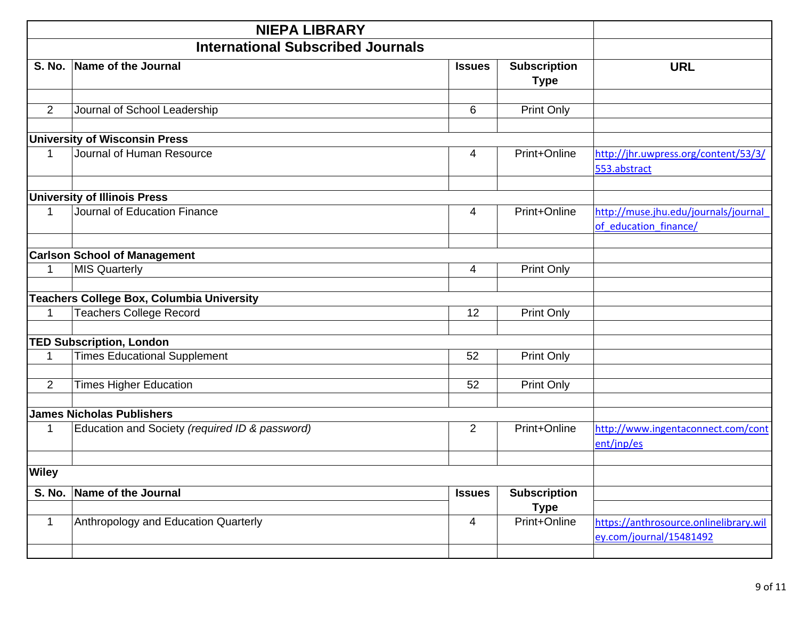|                | <b>NIEPA LIBRARY</b>                             |                |                                    |                                                                   |
|----------------|--------------------------------------------------|----------------|------------------------------------|-------------------------------------------------------------------|
|                | <b>International Subscribed Journals</b>         |                |                                    |                                                                   |
| <b>S. No.</b>  | Name of the Journal                              | <b>Issues</b>  | <b>Subscription</b><br><b>Type</b> | <b>URL</b>                                                        |
| $\overline{2}$ | Journal of School Leadership                     | 6              | Print Only                         |                                                                   |
|                | <b>University of Wisconsin Press</b>             |                |                                    |                                                                   |
| 1              | Journal of Human Resource                        | 4              | Print+Online                       | http://jhr.uwpress.org/content/53/3/<br>553.abstract              |
|                | <b>University of Illinois Press</b>              |                |                                    |                                                                   |
| 1              | Journal of Education Finance                     | 4              | Print+Online                       | http://muse.jhu.edu/journals/journal<br>of education finance/     |
|                | <b>Carlson School of Management</b>              |                |                                    |                                                                   |
| 1              | <b>MIS Quarterly</b>                             | 4              | Print Only                         |                                                                   |
|                | <b>Teachers College Box, Columbia University</b> |                |                                    |                                                                   |
| 1              | <b>Teachers College Record</b>                   | 12             | Print Only                         |                                                                   |
|                | <b>TED Subscription, London</b>                  |                |                                    |                                                                   |
| $\mathbf{1}$   | <b>Times Educational Supplement</b>              | 52             | Print Only                         |                                                                   |
| $\overline{2}$ | <b>Times Higher Education</b>                    | 52             | Print Only                         |                                                                   |
|                | <b>James Nicholas Publishers</b>                 |                |                                    |                                                                   |
| $\mathbf 1$    | Education and Society (required ID & password)   | $\overline{2}$ | Print+Online                       | http://www.ingentaconnect.com/cont<br>ent/jnp/es                  |
| <b>Wiley</b>   |                                                  |                |                                    |                                                                   |
| S. No.         | Name of the Journal                              | <b>Issues</b>  | <b>Subscription</b><br><b>Type</b> |                                                                   |
| $\mathbf{1}$   | Anthropology and Education Quarterly             | 4              | Print+Online                       | https://anthrosource.onlinelibrary.wil<br>ey.com/journal/15481492 |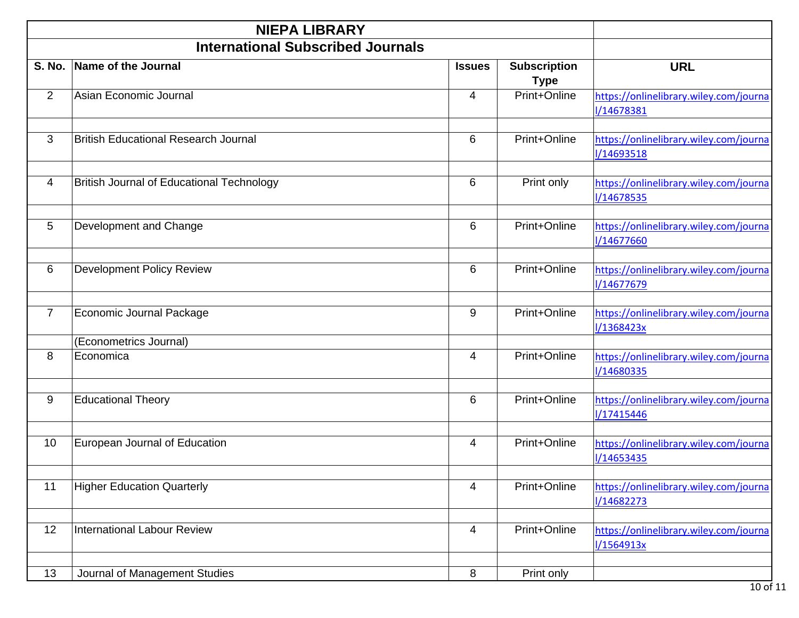|                | <b>NIEPA LIBRARY</b>                             |                |                                    |                                                             |
|----------------|--------------------------------------------------|----------------|------------------------------------|-------------------------------------------------------------|
|                | <b>International Subscribed Journals</b>         |                |                                    |                                                             |
| <b>S. No.</b>  | Name of the Journal                              | <b>Issues</b>  | <b>Subscription</b><br><b>Type</b> | <b>URL</b>                                                  |
| 2              | Asian Economic Journal                           | $\overline{4}$ | Print+Online                       | https://onlinelibrary.wiley.com/journa<br><b>I/14678381</b> |
| 3              | <b>British Educational Research Journal</b>      | 6              | Print+Online                       | https://onlinelibrary.wiley.com/journa<br><b>I/14693518</b> |
| 4              | <b>British Journal of Educational Technology</b> | 6              | Print only                         | https://onlinelibrary.wiley.com/journa<br>I/14678535        |
| 5              | Development and Change                           | 6              | Print+Online                       | https://onlinelibrary.wiley.com/journa<br><b>I/14677660</b> |
| 6              | <b>Development Policy Review</b>                 | 6              | Print+Online                       | https://onlinelibrary.wiley.com/journa<br>I/14677679        |
| $\overline{7}$ | Economic Journal Package                         | 9              | Print+Online                       | https://onlinelibrary.wiley.com/journa<br>1/1368423x        |
|                | (Econometrics Journal)                           |                |                                    |                                                             |
| 8              | Economica                                        | $\overline{4}$ | Print+Online                       | https://onlinelibrary.wiley.com/journa<br>I/14680335        |
| 9              | <b>Educational Theory</b>                        | 6              | Print+Online                       | https://onlinelibrary.wiley.com/journa<br>I/17415446        |
| 10             | European Journal of Education                    | 4              | Print+Online                       | https://onlinelibrary.wiley.com/journa<br>I/14653435        |
| 11             | <b>Higher Education Quarterly</b>                | $\overline{4}$ | Print+Online                       | https://onlinelibrary.wiley.com/journa<br>I/14682273        |
| 12             | <b>International Labour Review</b>               | 4              | Print+Online                       | https://onlinelibrary.wiley.com/journa<br>1/1564913x        |
| 13             | Journal of Management Studies                    | 8              | Print only                         |                                                             |